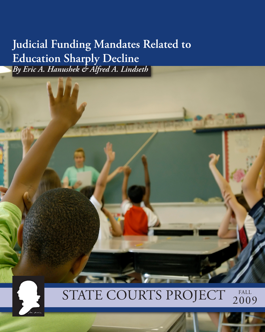## **Judicial Funding Mandates Related to Education Sharply Decline**  *By Eric A. Hanushek & Alfred A. Lindseth*

### STATE COURTS PROJECT 200 2009

**The Terms**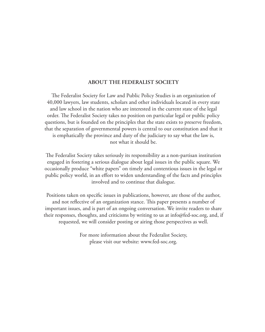#### **ABOUT THE FEDERALIST SOCIETY**

The Federalist Society for Law and Public Policy Studies is an organization of 40,000 lawyers, law students, scholars and other individuals located in every state and law school in the nation who are interested in the current state of the legal order. The Federalist Society takes no position on particular legal or public policy questions, but is founded on the principles that the state exists to preserve freedom, that the separation of governmental powers is central to our constitution and that it is emphatically the province and duty of the judiciary to say what the law is, not what it should be.

The Federalist Society takes seriously its responsibility as a non-partisan institution engaged in fostering a serious dialogue about legal issues in the public square. We occasionally produce "white papers" on timely and contentious issues in the legal or public policy world, in an effort to widen understanding of the facts and principles involved and to continue that dialogue.

Positions taken on specific issues in publications, however, are those of the author, and not reflective of an organization stance. This paper presents a number of important issues, and is part of an ongoing conversation. We invite readers to share their responses, thoughts, and criticisms by writing to us at info@fed-soc.org, and, if requested, we will consider posting or airing those perspectives as well.

> For more information about the Federalist Society, please visit our website: www.fed-soc.org.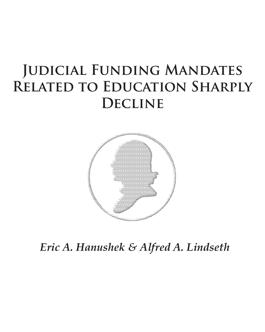# **Judicial Funding Mandates Related to Education Sharply Decline**



*Eric A. Hanushek & Alfred A. Lindseth*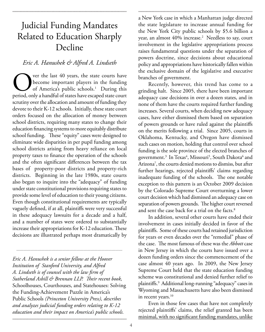### Judicial Funding Mandates Related to Education Sharply Decline

### *Eric A. Hanushek & Alfred A. Lindseth*

Over the last 40 years, the state courts have<br>become important players in the funding<br>of America's public schools.<sup>1</sup> During this<br>period, only a handful of states have escaped state court become important players in the funding of America's public schools.<sup>1</sup> During this period, only a handful of states have escaped state court scrutiny over the allocation and amount of funding they devote to their K-12 schools. Initially, these state court orders focused on the allocation of money between school districts, requiring many states to change their education financing systems to more equitably distribute school funding. These "equity" cases were designed to eliminate wide disparities in per pupil funding among school districts arising from heavy reliance on local property taxes to finance the operation of the schools and the often significant differences between the tax bases of property-poor districts and property-rich districts. Beginning in the late 1980s, state courts also began to inquire into the "adequacy" of funding under state constitutional provisions requiring states to provide some level of education to their young citizens. Even though constitutional requirements are typically vaguely defined, if at all, plaintiffs were very successful in these adequacy lawsuits for a decade and a half, and a number of states were ordered to substantially increase their appropriations for K-12 education. These decisions are illustrated perhaps most dramatically by

*Eric A. Hanushek is a senior fellow at the Hoover Institution of Stanford University, and Alfred A. Lindseth is of counsel with the law firm of Sutherland Asbill & Brennan LLP. Their recent book,* Schoolhouses, Courthouses, and Statehouses: Solving the Funding-Achievement Puzzle in America's Public Schools *(Princeton University Press), describes and analyzes judicial funding orders relating to K-12 education and their impact on America's public schools.*

*..........................................................................................*

a New York case in which a Manhattan judge directed the state legislature to increase annual funding for the New York City public schools by \$5.6 billion a year, an almost 40% increase.2 Needless to say, court involvement in the legislative appropriations process raises fundamental questions under the separation of powers doctrine, since decisions about educational policy and appropriations have historically fallen within the exclusive domain of the legislative and executive branches of government.

Recently, however, this trend has come to a grinding halt. Since 2005, there have been important adequacy case decisions in over a dozen states, and in none of them have the courts required further funding increases. Several courts, when deciding new adequacy cases, have either dismissed them based on separation of powers grounds or have ruled against the plaintiffs on the merits following a trial. Since 2005, courts in Oklahoma, Kentucky, and Oregon have dismissed such cases on motion, holding that control over school funding is the sole province of the elected branches of government.<sup>3</sup> In Texas<sup>4</sup>, Missouri<sup>5</sup>, South Dakota<sup>6</sup> and Arizona7 , the courts denied motions to dismiss, but after further hearings, rejected plaintiffs' claims regarding inadequate funding of the schools. The one notable exception to this pattern is an October 2009 decision by the Colorado Supreme Court overturning a lower court decision which had dismissed an adequacy case on separation of powers grounds. The higher court reversed and sent the case back for a trial on the facts. $8$ 

In addition, several other courts have ended their involvement in cases initially decided in favor of the plaintiffs. Some of these courts had retained jurisdiction for years or even decades over the "remedial" phase of the case. The most famous of these was the *Abbott* case in New Jersey in which the courts have issued over a dozen funding orders since the commencement of the case almost 40 years ago. In 2009, the New Jersey Supreme Court held that the state education funding scheme was constitutional and denied further relief to plaintiffs.9 Additional long-running "adequacy" cases in Wyoming and Massachusetts have also been dismissed in recent years.<sup>10</sup>

Even in those few cases that have not completely rejected plaintiffs' claims, the relief granted has been minimal, with no significant funding mandates, unlike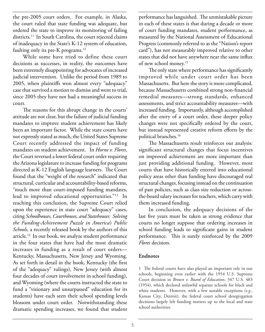the pre-2005 court orders. For example, in Alaska, the court ruled that state funding was adequate, but ordered the state to improve its monitoring of failing districts.11 In South Carolina, the court rejected claims of inadequacy in the State's K-12 system of education, faulting only its pre-K programs.<sup>12</sup>

While some have tried to define these court decisions as successes, in reality, the outcomes have been extremely disappointing for advocates of increased judicial intervention. Unlike the period from 1989 to 2005, when plaintiffs won almost every "adequacy" case that survived a motion to dismiss and went to trial, since 2005 they have not had a meaningful success in court.

The reasons for this abrupt change in the courts' attitude are not clear, but the failure of judicial funding mandates to improve student achievement has likely been an important factor. While the state courts have not expressly stated as much, the United States Supreme Court recently addressed the impact of funding mandates on student achievement. In *Horne v. Flores*, the Court reversed a lower federal court order requiring the Arizona legislature to increase funding for programs directed at K-12 English language learners. The Court found that the "weight of the research" indicated that structural, curricular and accountability-based reforms, "much more than court-imposed funding mandates, lead to improved educational opportunities."13 In reaching this conclusion, the Supreme Court relied upon the experience in state court "adequacy" cases, citing *Schoolhouses, Courthouses, and Statehouses: Solving the Funding-Achievement Puzzle in America's Public Schools,* a recently released book by the authors of this article.14 In our book, we analyze student performance in the four states that have had the most dramatic increases in funding as a result of court orders— Kentucky, Massachusetts, New Jersey and Wyoming. As set forth in detail in the book, Kentucky (the first of the "adequacy" rulings), New Jersey (with almost four decades of court involvement in school funding), and Wyoming (where the courts instructed the state to fund a "visionary and unsurpassed" education for its students) have each seen their school spending levels blossom under court order. Notwithstanding these dramatic spending increases, we found that student performance has languished. The unmistakable picture in each of these states is that during a decade or more of court funding mandates, student performance, as measured by the National Assessment of Educational Progress (commonly referred to as the "Nation's report card"), has not measurably improved relative to other states that did not have anywhere near the same influx of new school money.15

The only state where performance has significantly improved while under court order has been Massachusetts. But here the story is more complicated, because Massachusetts combined strong non-financial remedial measures—strong standards, enhanced assessments, and strict accountability measures—with increased funding. Importantly, although accomplished after the entry of a court order, these deeper policy changes were not specifically ordered by the court, but instead represented creative reform efforts by the political branches.16

The Massachusetts result reinforces our analysis: significant structural changes that focus incentives on improved achievement are more important than just providing additional funding. However, most courts that have historically entered into educational policy areas other than funding have discouraged real structural changes, focusing instead on the continuation of past policies, such as class size reduction or acrossthe-board salary increases for teachers, which carry with them increased funding.

In conclusion, the adequacy decisions of the last five years must be taken as strong evidence that courts no longer suppose that ordering increases in school funding leads to significant gains in student performance. This is surely reinforced by the 2009 *Flores* decision.

### **Endnotes**

1 The federal courts have also played an important role in our schools, beginning even earlier with the 1954 U.S. Supreme Court decision in *Brown v. Board of Education*, 347 U.S. 483 (1954), which declared unlawful separate schools for black and white students. However, with a few notable exceptions (*e.g.*, Kansas City, Detroit), the federal court school desegregation decisions largely left funding matters up to the local and state school authorities.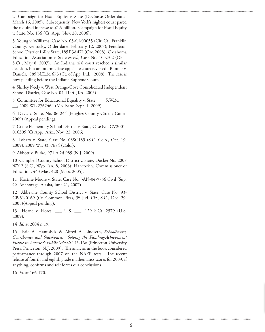2 Campaign for Fiscal Equity v. State (DeGrasse Order dated March 16, 2005). Subsequently, New York's highest court pared the required increase to \$1.9 billion. Campaign for Fiscal Equity v. State, No. 136 (Ct. App., Nov. 20, 2006).

3 Young v. Williams, Case No. 03-CI-00055 (Cir. Ct., Franklin County, Kentucky, Order dated February 12, 2007); Pendleton School District 16R v. State, 185 P.3d 471 (Ore. 2008); Oklahoma Education Association v. State *ex rel.*, Case No. 103,702 (Okla. S.Ct., May 8, 2007). An Indiana trial court reached a similar decision, but an intermediate appellate court reversed. Bonner v. Daniels, 885 N.E.2d 673 (Ct. of App. Ind., 2008). The case is now pending before the Indiana Supreme Court.

4 Shirley Neely v. West Orange-Cove Consolidated Independent School District, Case No. 04-1144 (Tex. 2005).

5 Committee for Educational Equality v. State, \_\_\_ S.W.3d \_\_\_ \_\_, 2009 WL 2762464 (Mo. Banc. Sept. 1, 2009).

6 Davis v. State, No. 06-244 (Hughes County Circuit Court, 2009) (Appeal pending).

7 Crane Elementary School District v. State, Case No. CV2001- 016305 (Ct.App., Ariz., Nov. 22, 2006).

8 Lobato v. State, Case No. 08SC185 (S.C. Colo., Oct. 19, 2009), 2009 WL 3337684 (Colo.).

9 Abbott v. Burke, 971 A.2d 989 (N.J. 2009).

10 Campbell County School District v. State, Docket No. 2008 WY 2 (S.C., Wyo. Jan. 8, 2008); Hancock v. Commissioner of Education, 443 Mass 428 (Mass. 2005).

11 Kristine Moore v. State, Case No. 3AN-04-9756 Civil (Sup. Ct. Anchorage, Alaska, June 21, 2007).

12 Abbeville County School District v. State, Case No. 93- CP-31-0169 (Ct. Common Pleas, 3rd Jud. Cir., S.C., Dec. 29, 2005)(Appeal pending).

13 Horne v. Flores, \_\_\_ U.S. \_\_\_, 129 S.Ct. 2579 (U.S. 2009)*.* 

14 *Id*. at 2604 n.19.

15 Eric A. Hanushek & Alfred A. Lindseth, *Schoolhouses, Courthouses and Statehouses: Solving the Funding-Achievement Puzzle in America's Public Schools* 145-166 (Princeton University Press, Princeton, N.J. 2009). The analysis in the book considered performance through 2007 on the NAEP tests. The recent release of fourth and eighth grade mathematics scores for 2009, if anything, confirms and reinforces our conclusions.

16 *Id.* at 166-170.